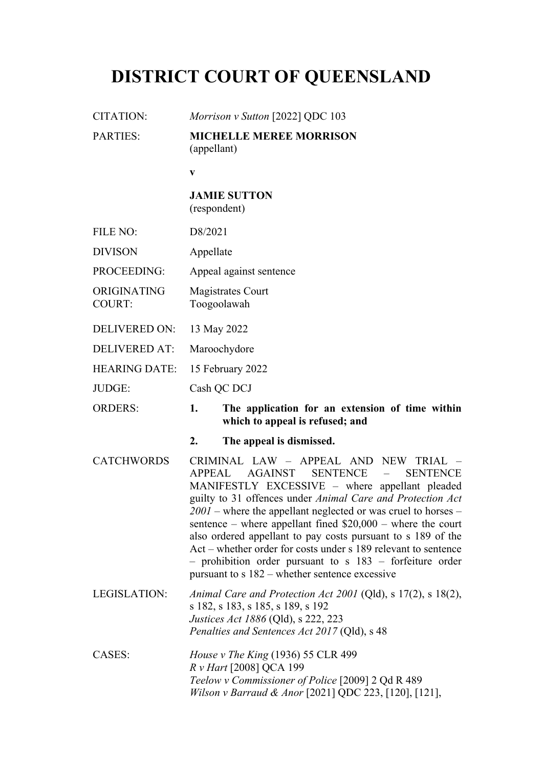# **DISTRICT COURT OF QUEENSLAND**

CITATION: *Morrison v Sutton* [2022] QDC 103

PARTIES: **MICHELLE MEREE MORRISON** (appellant)

**v**

#### **JAMIE SUTTON** (respondent)

FILE NO: D8/2021

DIVISON Appellate

- PROCEEDING: Appeal against sentence
- ORIGINATING COURT: Magistrates Court Toogoolawah
- DELIVERED ON: 13 May 2022
- DELIVERED AT: Maroochydore
- HEARING DATE: 15 February 2022
- JUDGE: Cash QC DCJ

ORDERS: **1. The application for an extension of time within which to appeal is refused; and**

- **2. The appeal is dismissed.**
- CATCHWORDS CRIMINAL LAW APPEAL AND NEW TRIAL APPEAL AGAINST SENTENCE – SENTENCE MANIFESTLY EXCESSIVE – where appellant pleaded guilty to 31 offences under *Animal Care and Protection Act 2001* – where the appellant neglected or was cruel to horses – sentence – where appellant fined \$20,000 – where the court also ordered appellant to pay costs pursuant to s 189 of the Act – whether order for costs under s 189 relevant to sentence – prohibition order pursuant to s 183 – forfeiture order pursuant to s 182 – whether sentence excessive

LEGISLATION: *Animal Care and Protection Act 2001* (Qld), s 17(2), s 18(2), s 182, s 183, s 185, s 189, s 192 *Justices Act 1886* (Qld), s 222, 223 *Penalties and Sentences Act 2017* (Qld), s 48

CASES: *House v The King* (1936) 55 CLR 499 *R v Hart* [2008] QCA 199 *Teelow v Commissioner of Police* [2009] 2 Qd R 489 *Wilson v Barraud & Anor* [2021] QDC 223, [120], [121],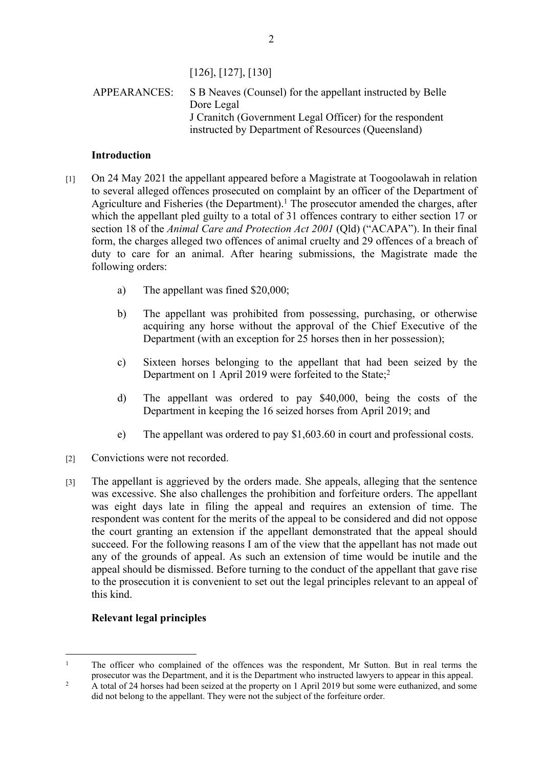[126], [127], [130]

# APPEARANCES: S B Neaves (Counsel) for the appellant instructed by Belle Dore Legal J Cranitch (Government Legal Officer) for the respondent instructed by Department of Resources (Queensland)

# **Introduction**

- [1] On 24 May 2021 the appellant appeared before a Magistrate at Toogoolawah in relation to several alleged offences prosecuted on complaint by an officer of the Department of Agriculture and Fisheries (the Department).<sup>1</sup> The prosecutor amended the charges, after which the appellant pled guilty to a total of 31 offences contrary to either section 17 or section 18 of the *Animal Care and Protection Act 2001* (Qld) ("ACAPA"). In their final form, the charges alleged two offences of animal cruelty and 29 offences of a breach of duty to care for an animal. After hearing submissions, the Magistrate made the following orders:
	- a) The appellant was fined \$20,000;
	- b) The appellant was prohibited from possessing, purchasing, or otherwise acquiring any horse without the approval of the Chief Executive of the Department (with an exception for 25 horses then in her possession);
	- c) Sixteen horses belonging to the appellant that had been seized by the Department on 1 April 2019 were forfeited to the State;<sup>2</sup>
	- d) The appellant was ordered to pay \$40,000, being the costs of the Department in keeping the 16 seized horses from April 2019; and
	- e) The appellant was ordered to pay \$1,603.60 in court and professional costs.
- [2] Convictions were not recorded.
- [3] The appellant is aggrieved by the orders made. She appeals, alleging that the sentence was excessive. She also challenges the prohibition and forfeiture orders. The appellant was eight days late in filing the appeal and requires an extension of time. The respondent was content for the merits of the appeal to be considered and did not oppose the court granting an extension if the appellant demonstrated that the appeal should succeed. For the following reasons I am of the view that the appellant has not made out any of the grounds of appeal. As such an extension of time would be inutile and the appeal should be dismissed. Before turning to the conduct of the appellant that gave rise to the prosecution it is convenient to set out the legal principles relevant to an appeal of this kind.

# **Relevant legal principles**

<sup>1</sup> The officer who complained of the offences was the respondent, Mr Sutton. But in real terms the prosecutor was the Department, and it is the Department who instructed lawyers to appear in this appeal.

<sup>2</sup> A total of 24 horses had been seized at the property on 1 April 2019 but some were euthanized, and some did not belong to the appellant. They were not the subject of the forfeiture order.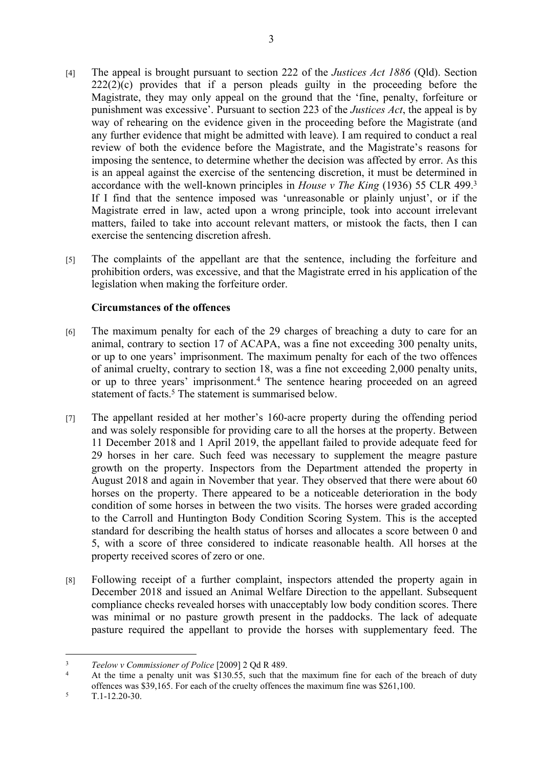- [4] The appeal is brought pursuant to section 222 of the *Justices Act 1886* (Qld). Section  $222(2)(c)$  provides that if a person pleads guilty in the proceeding before the Magistrate, they may only appeal on the ground that the 'fine, penalty, forfeiture or punishment was excessive'. Pursuant to section 223 of the *Justices Act*, the appeal is by way of rehearing on the evidence given in the proceeding before the Magistrate (and any further evidence that might be admitted with leave). I am required to conduct a real review of both the evidence before the Magistrate, and the Magistrate's reasons for imposing the sentence, to determine whether the decision was affected by error. As this is an appeal against the exercise of the sentencing discretion, it must be determined in accordance with the well-known principles in *House v The King* (1936) 55 CLR 499.<sup>3</sup> If I find that the sentence imposed was 'unreasonable or plainly unjust', or if the Magistrate erred in law, acted upon a wrong principle, took into account irrelevant matters, failed to take into account relevant matters, or mistook the facts, then I can exercise the sentencing discretion afresh.
- [5] The complaints of the appellant are that the sentence, including the forfeiture and prohibition orders, was excessive, and that the Magistrate erred in his application of the legislation when making the forfeiture order.

### **Circumstances of the offences**

- [6] The maximum penalty for each of the 29 charges of breaching a duty to care for an animal, contrary to section 17 of ACAPA, was a fine not exceeding 300 penalty units, or up to one years' imprisonment. The maximum penalty for each of the two offences of animal cruelty, contrary to section 18, was a fine not exceeding 2,000 penalty units, or up to three years' imprisonment.<sup>4</sup> The sentence hearing proceeded on an agreed statement of facts.<sup>5</sup> The statement is summarised below.
- [7] The appellant resided at her mother's 160-acre property during the offending period and was solely responsible for providing care to all the horses at the property. Between 11 December 2018 and 1 April 2019, the appellant failed to provide adequate feed for 29 horses in her care. Such feed was necessary to supplement the meagre pasture growth on the property. Inspectors from the Department attended the property in August 2018 and again in November that year. They observed that there were about 60 horses on the property. There appeared to be a noticeable deterioration in the body condition of some horses in between the two visits. The horses were graded according to the Carroll and Huntington Body Condition Scoring System. This is the accepted standard for describing the health status of horses and allocates a score between 0 and 5, with a score of three considered to indicate reasonable health. All horses at the property received scores of zero or one.
- [8] Following receipt of a further complaint, inspectors attended the property again in December 2018 and issued an Animal Welfare Direction to the appellant. Subsequent compliance checks revealed horses with unacceptably low body condition scores. There was minimal or no pasture growth present in the paddocks. The lack of adequate pasture required the appellant to provide the horses with supplementary feed. The

<sup>3</sup> *Teelow v Commissioner of Police* [2009] 2 Qd R 489.

<sup>4</sup> At the time a penalty unit was \$130.55, such that the maximum fine for each of the breach of duty offences was \$39,165. For each of the cruelty offences the maximum fine was \$261,100.

<sup>5</sup> T.1-12.20-30.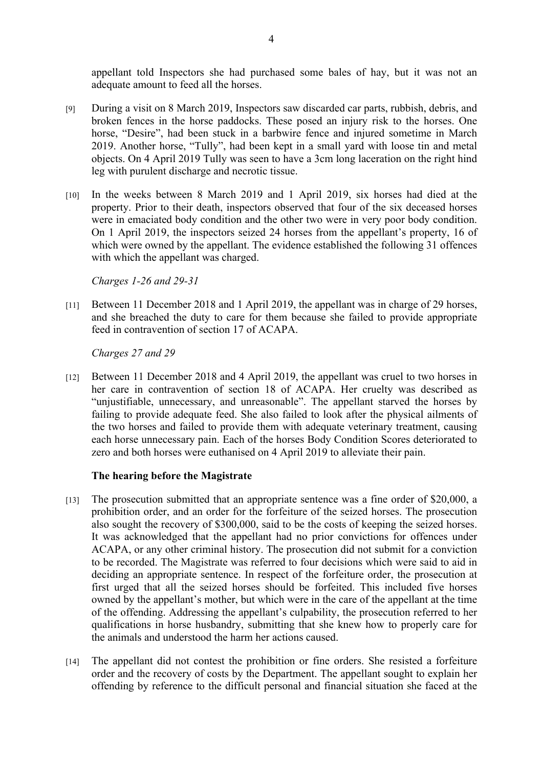appellant told Inspectors she had purchased some bales of hay, but it was not an adequate amount to feed all the horses.

- [9] During a visit on 8 March 2019, Inspectors saw discarded car parts, rubbish, debris, and broken fences in the horse paddocks. These posed an injury risk to the horses. One horse, "Desire", had been stuck in a barbwire fence and injured sometime in March 2019. Another horse, "Tully", had been kept in a small yard with loose tin and metal objects. On 4 April 2019 Tully was seen to have a 3cm long laceration on the right hind leg with purulent discharge and necrotic tissue.
- [10] In the weeks between 8 March 2019 and 1 April 2019, six horses had died at the property. Prior to their death, inspectors observed that four of the six deceased horses were in emaciated body condition and the other two were in very poor body condition. On 1 April 2019, the inspectors seized 24 horses from the appellant's property, 16 of which were owned by the appellant. The evidence established the following 31 offences with which the appellant was charged.

*Charges 1-26 and 29-31*

[11] Between 11 December 2018 and 1 April 2019, the appellant was in charge of 29 horses, and she breached the duty to care for them because she failed to provide appropriate feed in contravention of section 17 of ACAPA.

*Charges 27 and 29*

[12] Between 11 December 2018 and 4 April 2019, the appellant was cruel to two horses in her care in contravention of section 18 of ACAPA. Her cruelty was described as "unjustifiable, unnecessary, and unreasonable". The appellant starved the horses by failing to provide adequate feed. She also failed to look after the physical ailments of the two horses and failed to provide them with adequate veterinary treatment, causing each horse unnecessary pain. Each of the horses Body Condition Scores deteriorated to zero and both horses were euthanised on 4 April 2019 to alleviate their pain.

#### **The hearing before the Magistrate**

- [13] The prosecution submitted that an appropriate sentence was a fine order of \$20,000, a prohibition order, and an order for the forfeiture of the seized horses. The prosecution also sought the recovery of \$300,000, said to be the costs of keeping the seized horses. It was acknowledged that the appellant had no prior convictions for offences under ACAPA, or any other criminal history. The prosecution did not submit for a conviction to be recorded. The Magistrate was referred to four decisions which were said to aid in deciding an appropriate sentence. In respect of the forfeiture order, the prosecution at first urged that all the seized horses should be forfeited. This included five horses owned by the appellant's mother, but which were in the care of the appellant at the time of the offending. Addressing the appellant's culpability, the prosecution referred to her qualifications in horse husbandry, submitting that she knew how to properly care for the animals and understood the harm her actions caused.
- [14] The appellant did not contest the prohibition or fine orders. She resisted a forfeiture order and the recovery of costs by the Department. The appellant sought to explain her offending by reference to the difficult personal and financial situation she faced at the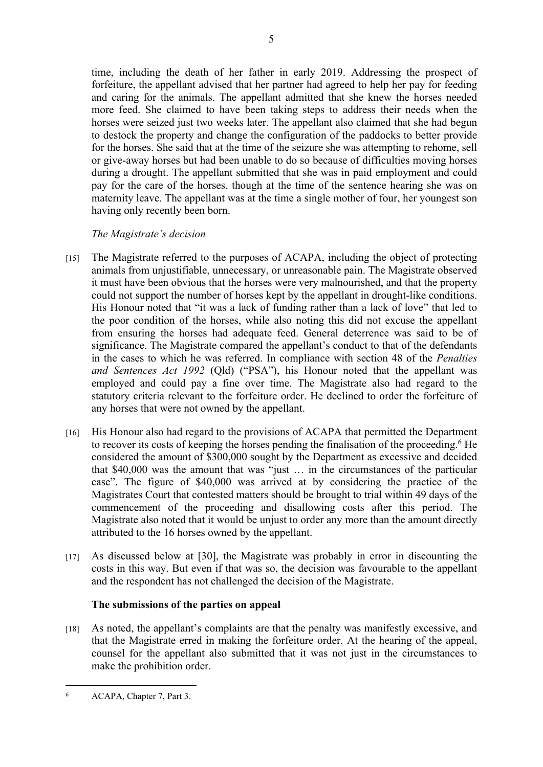time, including the death of her father in early 2019. Addressing the prospect of forfeiture, the appellant advised that her partner had agreed to help her pay for feeding and caring for the animals. The appellant admitted that she knew the horses needed more feed. She claimed to have been taking steps to address their needs when the horses were seized just two weeks later. The appellant also claimed that she had begun to destock the property and change the configuration of the paddocks to better provide for the horses. She said that at the time of the seizure she was attempting to rehome, sell or give-away horses but had been unable to do so because of difficulties moving horses during a drought. The appellant submitted that she was in paid employment and could pay for the care of the horses, though at the time of the sentence hearing she was on maternity leave. The appellant was at the time a single mother of four, her youngest son having only recently been born.

# *The Magistrate's decision*

- [15] The Magistrate referred to the purposes of ACAPA, including the object of protecting animals from unjustifiable, unnecessary, or unreasonable pain. The Magistrate observed it must have been obvious that the horses were very malnourished, and that the property could not support the number of horses kept by the appellant in drought-like conditions. His Honour noted that "it was a lack of funding rather than a lack of love" that led to the poor condition of the horses, while also noting this did not excuse the appellant from ensuring the horses had adequate feed. General deterrence was said to be of significance. The Magistrate compared the appellant's conduct to that of the defendants in the cases to which he was referred. In compliance with section 48 of the *Penalties and Sentences Act 1992* (Qld) ("PSA"), his Honour noted that the appellant was employed and could pay a fine over time. The Magistrate also had regard to the statutory criteria relevant to the forfeiture order. He declined to order the forfeiture of any horses that were not owned by the appellant.
- [16] His Honour also had regard to the provisions of ACAPA that permitted the Department to recover its costs of keeping the horses pending the finalisation of the proceeding.<sup>6</sup> He considered the amount of \$300,000 sought by the Department as excessive and decided that \$40,000 was the amount that was "just … in the circumstances of the particular case". The figure of \$40,000 was arrived at by considering the practice of the Magistrates Court that contested matters should be brought to trial within 49 days of the commencement of the proceeding and disallowing costs after this period. The Magistrate also noted that it would be unjust to order any more than the amount directly attributed to the 16 horses owned by the appellant.
- [17] As discussed below at [30], the Magistrate was probably in error in discounting the costs in this way. But even if that was so, the decision was favourable to the appellant and the respondent has not challenged the decision of the Magistrate.

# **The submissions of the parties on appeal**

[18] As noted, the appellant's complaints are that the penalty was manifestly excessive, and that the Magistrate erred in making the forfeiture order. At the hearing of the appeal, counsel for the appellant also submitted that it was not just in the circumstances to make the prohibition order.

<sup>6</sup> ACAPA, Chapter 7, Part 3.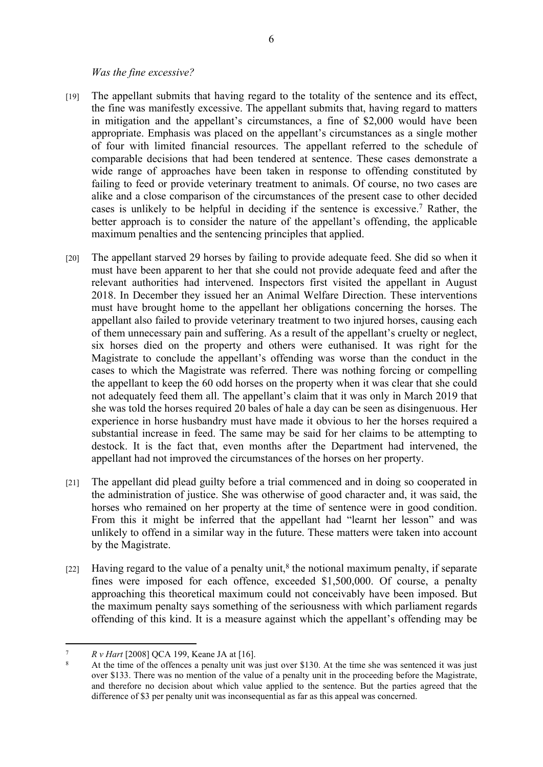#### *Was the fine excessive?*

- [19] The appellant submits that having regard to the totality of the sentence and its effect, the fine was manifestly excessive. The appellant submits that, having regard to matters in mitigation and the appellant's circumstances, a fine of \$2,000 would have been appropriate. Emphasis was placed on the appellant's circumstances as a single mother of four with limited financial resources. The appellant referred to the schedule of comparable decisions that had been tendered at sentence. These cases demonstrate a wide range of approaches have been taken in response to offending constituted by failing to feed or provide veterinary treatment to animals. Of course, no two cases are alike and a close comparison of the circumstances of the present case to other decided cases is unlikely to be helpful in deciding if the sentence is excessive.<sup>7</sup> Rather, the better approach is to consider the nature of the appellant's offending, the applicable maximum penalties and the sentencing principles that applied.
- [20] The appellant starved 29 horses by failing to provide adequate feed. She did so when it must have been apparent to her that she could not provide adequate feed and after the relevant authorities had intervened. Inspectors first visited the appellant in August 2018. In December they issued her an Animal Welfare Direction. These interventions must have brought home to the appellant her obligations concerning the horses. The appellant also failed to provide veterinary treatment to two injured horses, causing each of them unnecessary pain and suffering. As a result of the appellant's cruelty or neglect, six horses died on the property and others were euthanised. It was right for the Magistrate to conclude the appellant's offending was worse than the conduct in the cases to which the Magistrate was referred. There was nothing forcing or compelling the appellant to keep the 60 odd horses on the property when it was clear that she could not adequately feed them all. The appellant's claim that it was only in March 2019 that she was told the horses required 20 bales of hale a day can be seen as disingenuous. Her experience in horse husbandry must have made it obvious to her the horses required a substantial increase in feed. The same may be said for her claims to be attempting to destock. It is the fact that, even months after the Department had intervened, the appellant had not improved the circumstances of the horses on her property.
- [21] The appellant did plead guilty before a trial commenced and in doing so cooperated in the administration of justice. She was otherwise of good character and, it was said, the horses who remained on her property at the time of sentence were in good condition. From this it might be inferred that the appellant had "learnt her lesson" and was unlikely to offend in a similar way in the future. These matters were taken into account by the Magistrate.
- [22] Having regard to the value of a penalty unit,<sup>8</sup> the notional maximum penalty, if separate fines were imposed for each offence, exceeded \$1,500,000. Of course, a penalty approaching this theoretical maximum could not conceivably have been imposed. But the maximum penalty says something of the seriousness with which parliament regards offending of this kind. It is a measure against which the appellant's offending may be

<sup>7</sup> *R v Hart* [2008] QCA 199, Keane JA at [16].

<sup>8</sup> At the time of the offences a penalty unit was just over \$130. At the time she was sentenced it was just over \$133. There was no mention of the value of a penalty unit in the proceeding before the Magistrate, and therefore no decision about which value applied to the sentence. But the parties agreed that the difference of \$3 per penalty unit was inconsequential as far as this appeal was concerned.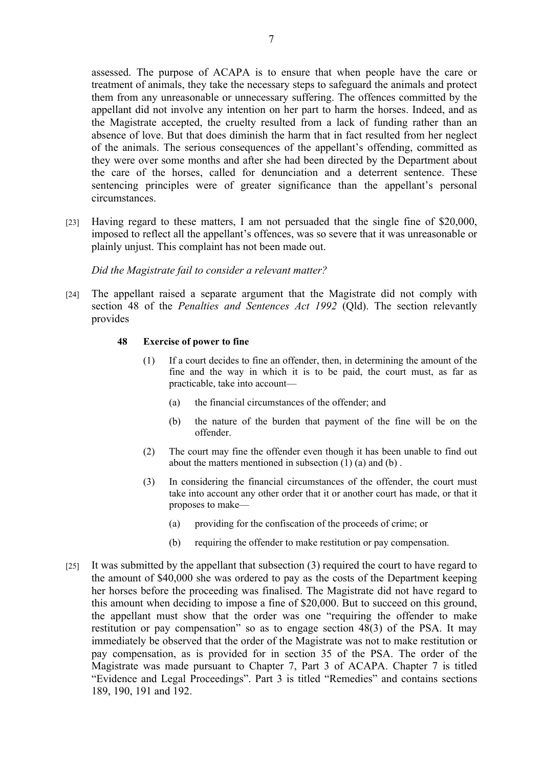assessed. The purpose of ACAPA is to ensure that when people have the care or treatment of animals, they take the necessary steps to safeguard the animals and protect them from any unreasonable or unnecessary suffering. The offences committed by the appellant did not involve any intention on her part to harm the horses. Indeed, and as the Magistrate accepted, the cruelty resulted from a lack of funding rather than an absence of love. But that does diminish the harm that in fact resulted from her neglect of the animals. The serious consequences of the appellant's offending, committed as they were over some months and after she had been directed by the Department about the care of the horses, called for denunciation and a deterrent sentence. These sentencing principles were of greater significance than the appellant's personal circumstances.

[23] Having regard to these matters, I am not persuaded that the single fine of \$20,000, imposed to reflect all the appellant's offences, was so severe that it was unreasonable or plainly unjust. This complaint has not been made out.

*Did the Magistrate fail to consider a relevant matter?*

[24] The appellant raised a separate argument that the Magistrate did not comply with section 48 of the *Penalties and Sentences Act 1992* (Qld). The section relevantly provides

#### **48 Exercise of power to fine**

- (1) If a court decides to fine an offender, then, in determining the amount of the fine and the way in which it is to be paid, the court must, as far as practicable, take into account—
	- (a) the financial circumstances of the offender; and
	- (b) the nature of the burden that payment of the fine will be on the offender.
- (2) The court may fine the offender even though it has been unable to find out about the matters mentioned in subsection (1) (a) and (b) .
- (3) In considering the financial circumstances of the offender, the court must take into account any other order that it or another court has made, or that it proposes to make—
	- (a) providing for the confiscation of the proceeds of crime; or
	- (b) requiring the offender to make restitution or pay compensation.
- [25] It was submitted by the appellant that subsection (3) required the court to have regard to the amount of \$40,000 she was ordered to pay as the costs of the Department keeping her horses before the proceeding was finalised. The Magistrate did not have regard to this amount when deciding to impose a fine of \$20,000. But to succeed on this ground, the appellant must show that the order was one "requiring the offender to make restitution or pay compensation" so as to engage section 48(3) of the PSA. It may immediately be observed that the order of the Magistrate was not to make restitution or pay compensation, as is provided for in section 35 of the PSA. The order of the Magistrate was made pursuant to Chapter 7, Part 3 of ACAPA. Chapter 7 is titled "Evidence and Legal Proceedings". Part 3 is titled "Remedies" and contains sections 189, 190, 191 and 192.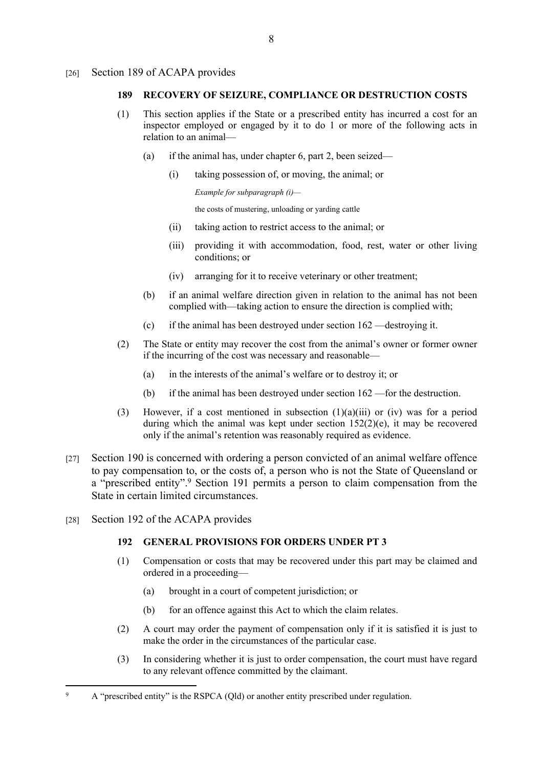#### [26] Section 189 of ACAPA provides

#### **189 RECOVERY OF SEIZURE, COMPLIANCE OR DESTRUCTION COSTS**

- (1) This section applies if the State or a prescribed entity has incurred a cost for an inspector employed or engaged by it to do 1 or more of the following acts in relation to an animal—
	- (a) if the animal has, under chapter 6, part 2, been seized—
		- (i) taking possession of, or moving, the animal; or

```
Example for subparagraph (i)—
```
the costs of mustering, unloading or yarding cattle

- (ii) taking action to restrict access to the animal; or
- (iii) providing it with accommodation, food, rest, water or other living conditions; or
- (iv) arranging for it to receive veterinary or other treatment;
- (b) if an animal welfare direction given in relation to the animal has not been complied with—taking action to ensure the direction is complied with;
- (c) if the animal has been destroyed under section 162 —destroying it.
- (2) The State or entity may recover the cost from the animal's owner or former owner if the incurring of the cost was necessary and reasonable—
	- (a) in the interests of the animal's welfare or to destroy it; or
	- (b) if the animal has been destroyed under section 162 —for the destruction.
- (3) However, if a cost mentioned in subsection  $(1)(a)(iii)$  or  $(iv)$  was for a period during which the animal was kept under section  $152(2)(e)$ , it may be recovered only if the animal's retention was reasonably required as evidence.
- [27] Section 190 is concerned with ordering a person convicted of an animal welfare offence to pay compensation to, or the costs of, a person who is not the State of Queensland or a "prescribed entity".<sup>9</sup> Section 191 permits a person to claim compensation from the State in certain limited circumstances.
- [28] Section 192 of the ACAPA provides

#### **192 GENERAL PROVISIONS FOR ORDERS UNDER PT 3**

- (1) Compensation or costs that may be recovered under this part may be claimed and ordered in a proceeding—
	- (a) brought in a court of competent jurisdiction; or
	- (b) for an offence against this Act to which the claim relates.
- (2) A court may order the payment of compensation only if it is satisfied it is just to make the order in the circumstances of the particular case.
- (3) In considering whether it is just to order compensation, the court must have regard to any relevant offence committed by the claimant.

<sup>9</sup> A "prescribed entity" is the RSPCA (Qld) or another entity prescribed under regulation.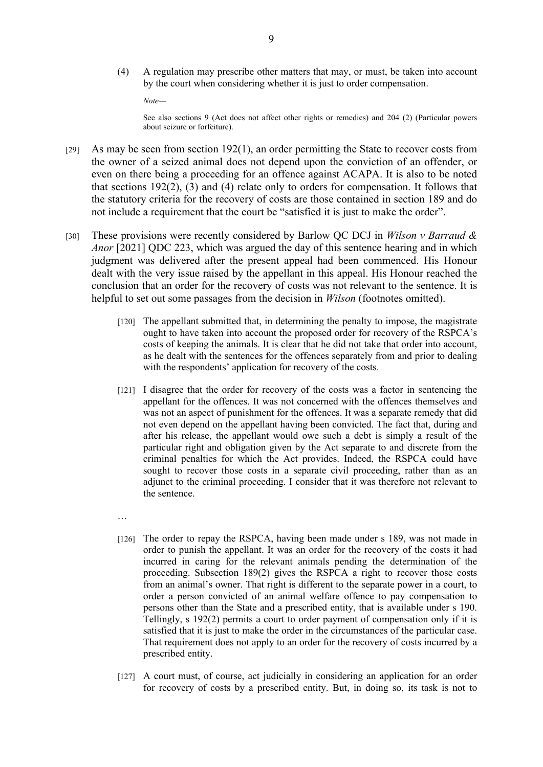(4) A regulation may prescribe other matters that may, or must, be taken into account by the court when considering whether it is just to order compensation.

*Note—*

See also sections 9 (Act does not affect other rights or remedies) and 204 (2) (Particular powers about seizure or forfeiture).

- [29] As may be seen from section 192(1), an order permitting the State to recover costs from the owner of a seized animal does not depend upon the conviction of an offender, or even on there being a proceeding for an offence against ACAPA. It is also to be noted that sections 192(2), (3) and (4) relate only to orders for compensation. It follows that the statutory criteria for the recovery of costs are those contained in section 189 and do not include a requirement that the court be "satisfied it is just to make the order".
- [30] These provisions were recently considered by Barlow QC DCJ in *Wilson v Barraud & Anor* [2021] QDC 223, which was argued the day of this sentence hearing and in which judgment was delivered after the present appeal had been commenced. His Honour dealt with the very issue raised by the appellant in this appeal. His Honour reached the conclusion that an order for the recovery of costs was not relevant to the sentence. It is helpful to set out some passages from the decision in *Wilson* (footnotes omitted).
	- [120] The appellant submitted that, in determining the penalty to impose, the magistrate ought to have taken into account the proposed order for recovery of the RSPCA's costs of keeping the animals. It is clear that he did not take that order into account, as he dealt with the sentences for the offences separately from and prior to dealing with the respondents' application for recovery of the costs.
	- [121] I disagree that the order for recovery of the costs was a factor in sentencing the appellant for the offences. It was not concerned with the offences themselves and was not an aspect of punishment for the offences. It was a separate remedy that did not even depend on the appellant having been convicted. The fact that, during and after his release, the appellant would owe such a debt is simply a result of the particular right and obligation given by the Act separate to and discrete from the criminal penalties for which the Act provides. Indeed, the RSPCA could have sought to recover those costs in a separate civil proceeding, rather than as an adjunct to the criminal proceeding. I consider that it was therefore not relevant to the sentence.
	- …
	- [126] The order to repay the RSPCA, having been made under s 189, was not made in order to punish the appellant. It was an order for the recovery of the costs it had incurred in caring for the relevant animals pending the determination of the proceeding. Subsection 189(2) gives the RSPCA a right to recover those costs from an animal's owner. That right is different to the separate power in a court, to order a person convicted of an animal welfare offence to pay compensation to persons other than the State and a prescribed entity, that is available under s 190. Tellingly, s 192(2) permits a court to order payment of compensation only if it is satisfied that it is just to make the order in the circumstances of the particular case. That requirement does not apply to an order for the recovery of costs incurred by a prescribed entity.
	- [127] A court must, of course, act judicially in considering an application for an order for recovery of costs by a prescribed entity. But, in doing so, its task is not to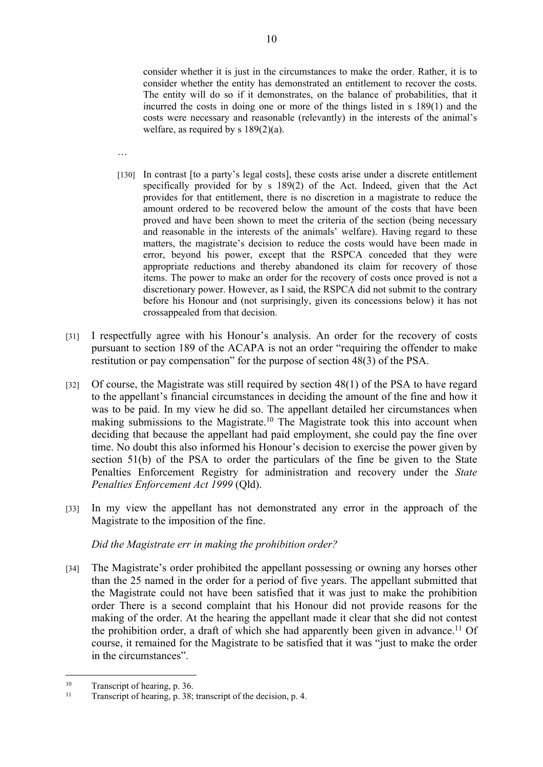consider whether it is just in the circumstances to make the order. Rather, it is to consider whether the entity has demonstrated an entitlement to recover the costs. The entity will do so if it demonstrates, on the balance of probabilities, that it incurred the costs in doing one or more of the things listed in s 189(1) and the costs were necessary and reasonable (relevantly) in the interests of the animal's welfare, as required by s 189(2)(a).

- …
- [130] In contrast [to a party's legal costs], these costs arise under a discrete entitlement specifically provided for by s 189(2) of the Act. Indeed, given that the Act provides for that entitlement, there is no discretion in a magistrate to reduce the amount ordered to be recovered below the amount of the costs that have been proved and have been shown to meet the criteria of the section (being necessary and reasonable in the interests of the animals' welfare). Having regard to these matters, the magistrate's decision to reduce the costs would have been made in error, beyond his power, except that the RSPCA conceded that they were appropriate reductions and thereby abandoned its claim for recovery of those items. The power to make an order for the recovery of costs once proved is not a discretionary power. However, as I said, the RSPCA did not submit to the contrary before his Honour and (not surprisingly, given its concessions below) it has not crossappealed from that decision.
- [31] I respectfully agree with his Honour's analysis. An order for the recovery of costs pursuant to section 189 of the ACAPA is not an order "requiring the offender to make restitution or pay compensation" for the purpose of section 48(3) of the PSA.
- [32] Of course, the Magistrate was still required by section 48(1) of the PSA to have regard to the appellant's financial circumstances in deciding the amount of the fine and how it was to be paid. In my view he did so. The appellant detailed her circumstances when making submissions to the Magistrate.<sup>10</sup> The Magistrate took this into account when deciding that because the appellant had paid employment, she could pay the fine over time. No doubt this also informed his Honour's decision to exercise the power given by section 51(b) of the PSA to order the particulars of the fine be given to the State Penalties Enforcement Registry for administration and recovery under the *State Penalties Enforcement Act 1999* (Qld).
- [33] In my view the appellant has not demonstrated any error in the approach of the Magistrate to the imposition of the fine.

#### *Did the Magistrate err in making the prohibition order?*

[34] The Magistrate's order prohibited the appellant possessing or owning any horses other than the 25 named in the order for a period of five years. The appellant submitted that the Magistrate could not have been satisfied that it was just to make the prohibition order There is a second complaint that his Honour did not provide reasons for the making of the order. At the hearing the appellant made it clear that she did not contest the prohibition order, a draft of which she had apparently been given in advance.<sup>11</sup> Of course, it remained for the Magistrate to be satisfied that it was "just to make the order in the circumstances".

<sup>&</sup>lt;sup>10</sup> Transcript of hearing, p. 36.<br><sup>11</sup> Transcript of hearing n  $38$ .

Transcript of hearing, p. 38; transcript of the decision, p. 4.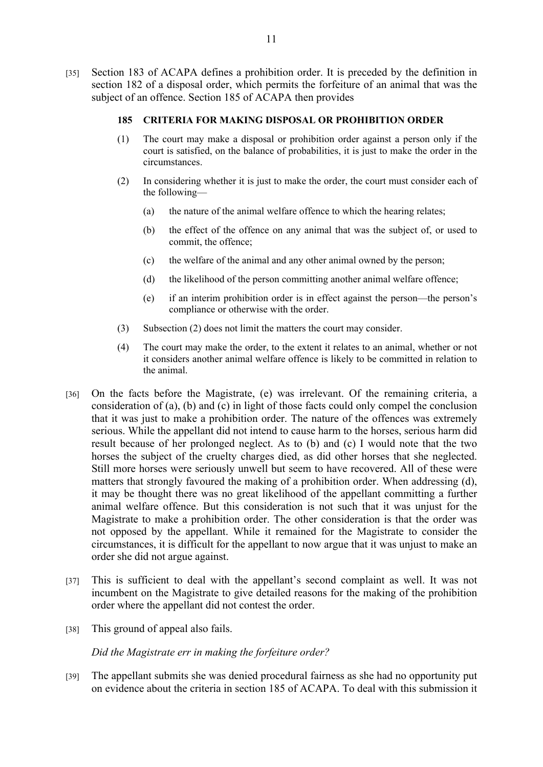[35] Section 183 of ACAPA defines a prohibition order. It is preceded by the definition in section 182 of a disposal order, which permits the forfeiture of an animal that was the subject of an offence. Section 185 of ACAPA then provides

#### **185 CRITERIA FOR MAKING DISPOSAL OR PROHIBITION ORDER**

- (1) The court may make a disposal or prohibition order against a person only if the court is satisfied, on the balance of probabilities, it is just to make the order in the circumstances.
- (2) In considering whether it is just to make the order, the court must consider each of the following—
	- (a) the nature of the animal welfare offence to which the hearing relates;
	- (b) the effect of the offence on any animal that was the subject of, or used to commit, the offence;
	- (c) the welfare of the animal and any other animal owned by the person;
	- (d) the likelihood of the person committing another animal welfare offence;
	- (e) if an interim prohibition order is in effect against the person—the person's compliance or otherwise with the order.
- (3) Subsection (2) does not limit the matters the court may consider.
- (4) The court may make the order, to the extent it relates to an animal, whether or not it considers another animal welfare offence is likely to be committed in relation to the animal.
- [36] On the facts before the Magistrate, (e) was irrelevant. Of the remaining criteria, a consideration of (a), (b) and (c) in light of those facts could only compel the conclusion that it was just to make a prohibition order. The nature of the offences was extremely serious. While the appellant did not intend to cause harm to the horses, serious harm did result because of her prolonged neglect. As to (b) and (c) I would note that the two horses the subject of the cruelty charges died, as did other horses that she neglected. Still more horses were seriously unwell but seem to have recovered. All of these were matters that strongly favoured the making of a prohibition order. When addressing (d), it may be thought there was no great likelihood of the appellant committing a further animal welfare offence. But this consideration is not such that it was unjust for the Magistrate to make a prohibition order. The other consideration is that the order was not opposed by the appellant. While it remained for the Magistrate to consider the circumstances, it is difficult for the appellant to now argue that it was unjust to make an order she did not argue against.
- [37] This is sufficient to deal with the appellant's second complaint as well. It was not incumbent on the Magistrate to give detailed reasons for the making of the prohibition order where the appellant did not contest the order.
- [38] This ground of appeal also fails.

*Did the Magistrate err in making the forfeiture order?*

[39] The appellant submits she was denied procedural fairness as she had no opportunity put on evidence about the criteria in section 185 of ACAPA. To deal with this submission it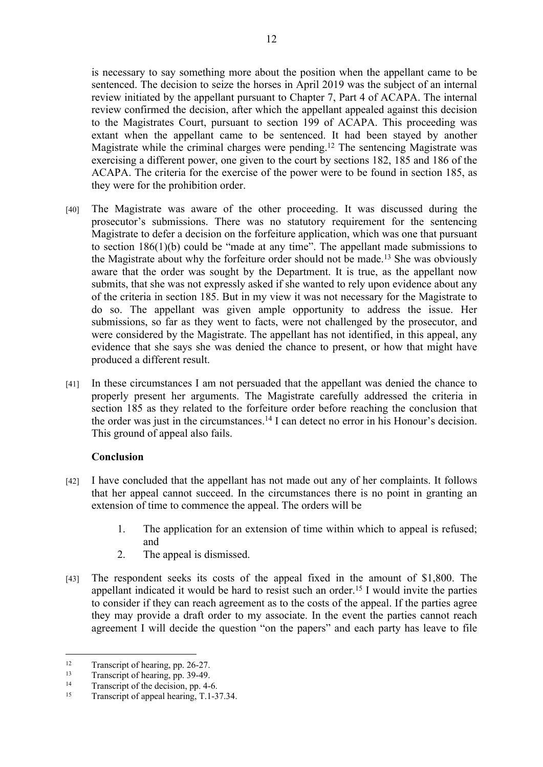is necessary to say something more about the position when the appellant came to be sentenced. The decision to seize the horses in April 2019 was the subject of an internal review initiated by the appellant pursuant to Chapter 7, Part 4 of ACAPA. The internal review confirmed the decision, after which the appellant appealed against this decision to the Magistrates Court, pursuant to section 199 of ACAPA. This proceeding was extant when the appellant came to be sentenced. It had been stayed by another Magistrate while the criminal charges were pending.<sup>12</sup> The sentencing Magistrate was exercising a different power, one given to the court by sections 182, 185 and 186 of the ACAPA. The criteria for the exercise of the power were to be found in section 185, as they were for the prohibition order.

- [40] The Magistrate was aware of the other proceeding. It was discussed during the prosecutor's submissions. There was no statutory requirement for the sentencing Magistrate to defer a decision on the forfeiture application, which was one that pursuant to section 186(1)(b) could be "made at any time". The appellant made submissions to the Magistrate about why the forfeiture order should not be made.<sup>13</sup> She was obviously aware that the order was sought by the Department. It is true, as the appellant now submits, that she was not expressly asked if she wanted to rely upon evidence about any of the criteria in section 185. But in my view it was not necessary for the Magistrate to do so. The appellant was given ample opportunity to address the issue. Her submissions, so far as they went to facts, were not challenged by the prosecutor, and were considered by the Magistrate. The appellant has not identified, in this appeal, any evidence that she says she was denied the chance to present, or how that might have produced a different result.
- [41] In these circumstances I am not persuaded that the appellant was denied the chance to properly present her arguments. The Magistrate carefully addressed the criteria in section 185 as they related to the forfeiture order before reaching the conclusion that the order was just in the circumstances.<sup>14</sup> I can detect no error in his Honour's decision. This ground of appeal also fails.

# **Conclusion**

- [42] I have concluded that the appellant has not made out any of her complaints. It follows that her appeal cannot succeed. In the circumstances there is no point in granting an extension of time to commence the appeal. The orders will be
	- 1. The application for an extension of time within which to appeal is refused; and
	- 2. The appeal is dismissed.
- [43] The respondent seeks its costs of the appeal fixed in the amount of \$1,800. The appellant indicated it would be hard to resist such an order.<sup>15</sup> I would invite the parties to consider if they can reach agreement as to the costs of the appeal. If the parties agree they may provide a draft order to my associate. In the event the parties cannot reach agreement I will decide the question "on the papers" and each party has leave to file

<sup>&</sup>lt;sup>12</sup> Transcript of hearing, pp. 26-27.<br>
<sup>13</sup> Transcript of hearing and <sup>20, 40</sup>.

<sup>&</sup>lt;sup>13</sup> Transcript of hearing, pp. 39-49.<br><sup>14</sup> Transcript of the decision pp.  $4$ -

<sup>&</sup>lt;sup>14</sup> Transcript of the decision, pp. 4-6.<br>Transcript of anneal hearing T 1-3

Transcript of appeal hearing, T.1-37.34.